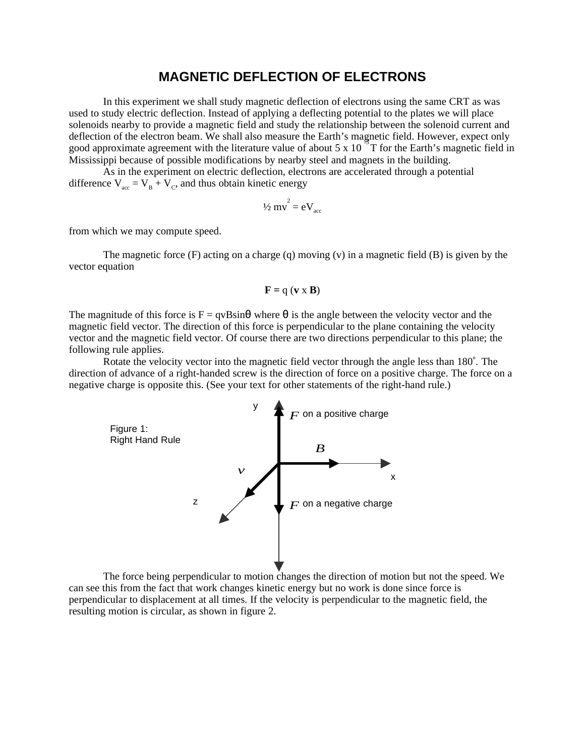## **MAGNETIC DEFLECTION OF ELECTRONS**

In this experiment we shall study magnetic deflection of electrons using the same CRT as was used to study electric deflection. Instead of applying a deflecting potential to the plates we will place solenoids nearby to provide a magnetic field and study the relationship between the solenoid current and deflection of the electron beam. We shall also measure the Earth's magnetic field. However, expect only good approximate agreement with the literature value of about 5 x 10<sup>o</sup> T for the Earth's magnetic field in Mississippi because of possible modifications by nearby steel and magnets in the building.

As in the experiment on electric deflection, electrons are accelerated through a potential difference  $V_{\text{acc}} = V_{\text{B}} + V_{\text{C}}$ , and thus obtain kinetic energy

$$
\frac{1}{2}mv^2 = eV_{\text{acc}}
$$

from which we may compute speed.

The magnetic force (F) acting on a charge (q) moving (v) in a magnetic field (B) is given by the vector equation

$$
\mathbf{F} = \mathbf{q} \ (\mathbf{v} \times \mathbf{B})
$$

The magnitude of this force is  $F = qvB\sin\theta$  where  $\theta$  is the angle between the velocity vector and the magnetic field vector. The direction of this force is perpendicular to the plane containing the velocity vector and the magnetic field vector. Of course there are two directions perpendicular to this plane; the following rule applies.

Rotate the velocity vector into the magnetic field vector through the angle less than 180˚. The direction of advance of a right-handed screw is the direction of force on a positive charge. The force on a negative charge is opposite this. (See your text for other statements of the right-hand rule.)



The force being perpendicular to motion changes the direction of motion but not the speed. We can see this from the fact that work changes kinetic energy but no work is done since force is perpendicular to displacement at all times. If the velocity is perpendicular to the magnetic field, the resulting motion is circular, as shown in figure 2.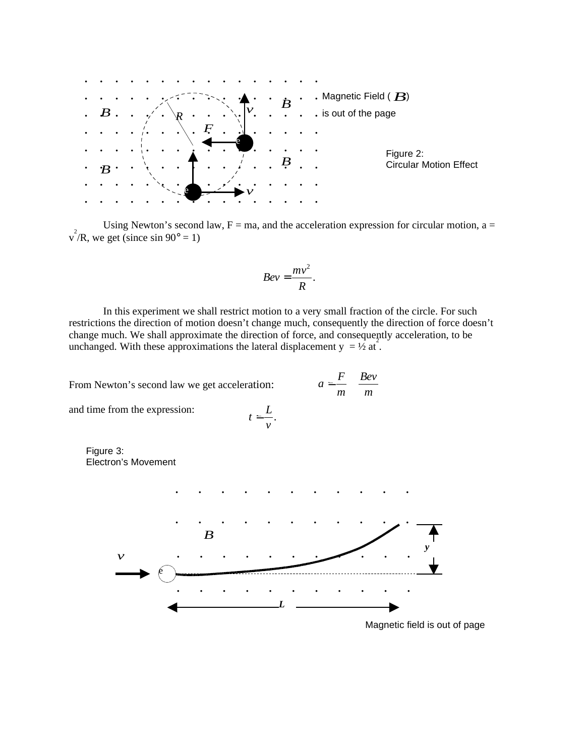

Using Newton's second law,  $F = ma$ , and the acceleration expression for circular motion,  $a =$  $v^2/R$ , we get (since sin 90° = 1)

$$
Bev = \frac{mv^2}{R}.
$$

In this experiment we shall restrict motion to a very small fraction of the circle. For such restrictions the direction of motion doesn't change much, consequently the direction of force doesn't change much. We shall approximate the direction of force, and consequently acceleration, to be unchanged. With these approximations the lateral displacement  $y = \frac{1}{2}$  at.

> $t = \frac{L}{\tau}$ . *v* =

From Newton's second law we get acceleration:

$$
a = \frac{F}{m} \quad \frac{Bev}{m}
$$

and time from the expression:

Figure 3: Electron's Movement



Magnetic field is out of page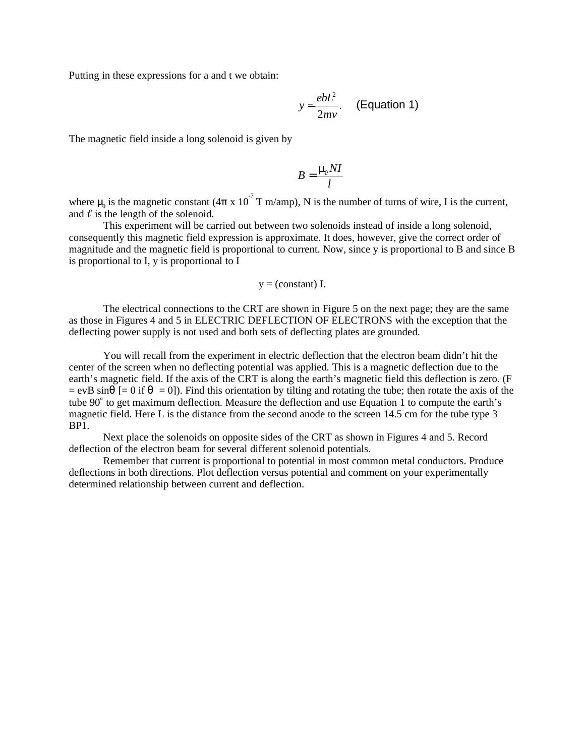Putting in these expressions for a and t we obtain:

$$
y = \frac{ebL^2}{2mv}.
$$
 (Equation 1)

The magnetic field inside a long solenoid is given by

$$
B = \frac{\mu_{\rm e} NI}{l}
$$

where  $\mu_0$  is the magnetic constant (4 $\pi$  x 10<sup>-7</sup> T m/amp), N is the number of turns of wire, I is the current, and  $\ell$  is the length of the solenoid.

This experiment will be carried out between two solenoids instead of inside a long solenoid, consequently this magnetic field expression is approximate. It does, however, give the correct order of magnitude and the magnetic field is proportional to current. Now, since y is proportional to B and since B is proportional to I, y is proportional to I

$$
y = (constant) I.
$$

The electrical connections to the CRT are shown in Figure 5 on the next page; they are the same as those in Figures 4 and 5 in ELECTRIC DEFLECTION OF ELECTRONS with the exception that the deflecting power supply is not used and both sets of deflecting plates are grounded.

You will recall from the experiment in electric deflection that the electron beam didn't hit the center of the screen when no deflecting potential was applied. This is a magnetic deflection due to the earth's magnetic field. If the axis of the CRT is along the earth's magnetic field this deflection is zero. (F  $=$  evB sin $\theta$  [= 0 if  $\theta$  = 0]). Find this orientation by tilting and rotating the tube; then rotate the axis of the tube 90˚ to get maximum deflection. Measure the deflection and use Equation 1 to compute the earth's magnetic field. Here L is the distance from the second anode to the screen 14.5 cm for the tube type 3 BP1.

Next place the solenoids on opposite sides of the CRT as shown in Figures 4 and 5. Record deflection of the electron beam for several different solenoid potentials.

Remember that current is proportional to potential in most common metal conductors. Produce deflections in both directions. Plot deflection versus potential and comment on your experimentally determined relationship between current and deflection.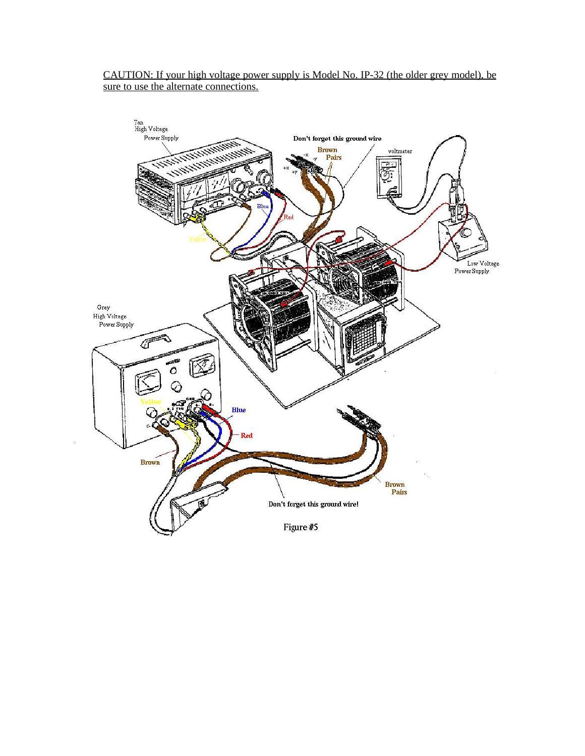## CAUTION: If your high voltage power supply is Model No. IP-32 (the older grey model), be sure to use the alternate connections.